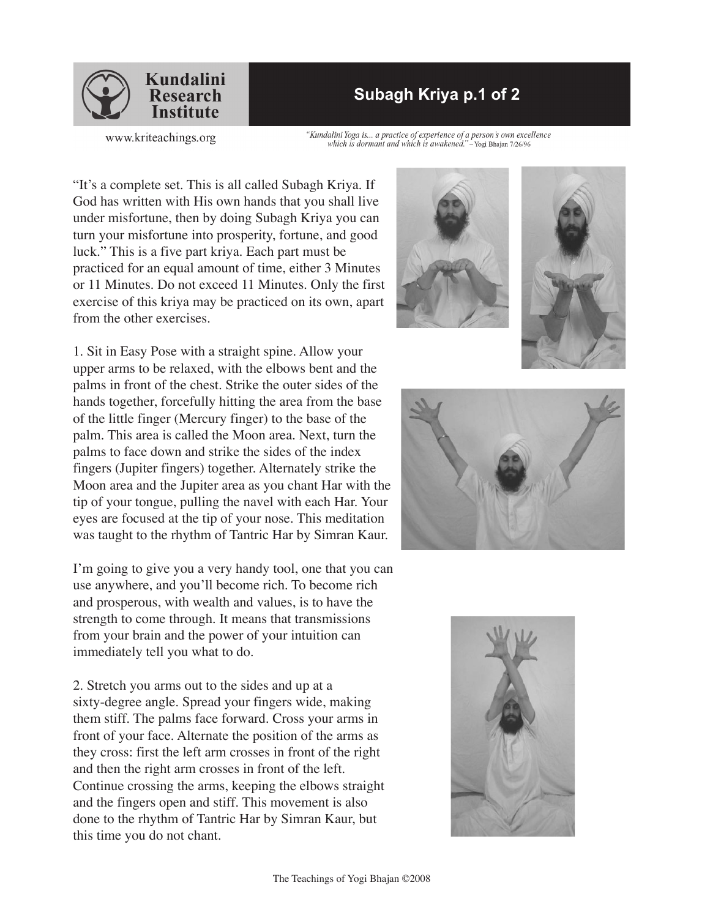

## **Subagh Kriya p.1 of 2**

www.kriteachings.org

"Kundalini Yoga is... a practice of experience of a person's own excellence<br>which is dormant and which is awakened." - Yogi Bhajan 7/26/96

"It's a complete set. This is all called Subagh Kriya. If God has written with His own hands that you shall live under misfortune, then by doing Subagh Kriya you can turn your misfortune into prosperity, fortune, and good luck." This is a five part kriya. Each part must be practiced for an equal amount of time, either 3 Minutes or 11 Minutes. Do not exceed 11 Minutes. Only the first exercise of this kriya may be practiced on its own, apart from the other exercises.

1. Sit in Easy Pose with a straight spine. Allow your upper arms to be relaxed, with the elbows bent and the palms in front of the chest. Strike the outer sides of the hands together, forcefully hitting the area from the base of the little finger (Mercury finger) to the base of the palm. This area is called the Moon area. Next, turn the palms to face down and strike the sides of the index fingers (Jupiter fingers) together. Alternately strike the Moon area and the Jupiter area as you chant Har with the tip of your tongue, pulling the navel with each Har. Your eyes are focused at the tip of your nose. This meditation was taught to the rhythm of Tantric Har by Simran Kaur.

I'm going to give you a very handy tool, one that you can use anywhere, and you'll become rich. To become rich and prosperous, with wealth and values, is to have the strength to come through. It means that transmissions from your brain and the power of your intuition can immediately tell you what to do.

2. Stretch you arms out to the sides and up at a sixty-degree angle. Spread your fingers wide, making them stiff. The palms face forward. Cross your arms in front of your face. Alternate the position of the arms as they cross: first the left arm crosses in front of the right and then the right arm crosses in front of the left. Continue crossing the arms, keeping the elbows straight and the fingers open and stiff. This movement is also done to the rhythm of Tantric Har by Simran Kaur, but this time you do not chant.